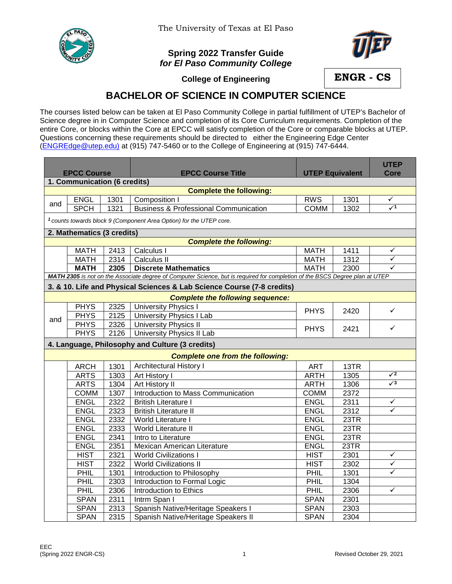

The University of Texas at El Paso

## **Spring 2022 Transfer Guide** *for El Paso Community College*



**College of Engineering**

**ENGR - CS**

## **BACHELOR OF SCIENCE IN COMPUTER SCIENCE**

The courses listed below can be taken at El Paso Community College in partial fulfillment of UTEP's Bachelor of Science degree in in Computer Science and completion of its Core Curriculum requirements. Completion of the entire Core, or blocks within the Core at EPCC will satisfy completion of the Core or comparable blocks at UTEP. Questions concerning these requirements should be directed to either the Engineering Edge Center [\(ENGREdge@utep.edu\)](mailto:ENGREdge@utep.edu) at (915) 747-5460 or to the College of Engineering at (915) 747-6444.

|                                                                                                                              |                                                                                |      |                                                                        |                        |      | <b>UTEP</b>                |  |  |  |  |  |
|------------------------------------------------------------------------------------------------------------------------------|--------------------------------------------------------------------------------|------|------------------------------------------------------------------------|------------------------|------|----------------------------|--|--|--|--|--|
| <b>EPCC Course</b>                                                                                                           |                                                                                |      | <b>EPCC Course Title</b>                                               | <b>UTEP Equivalent</b> |      | <b>Core</b>                |  |  |  |  |  |
| 1. Communication (6 credits)                                                                                                 |                                                                                |      |                                                                        |                        |      |                            |  |  |  |  |  |
|                                                                                                                              |                                                                                |      | <b>Complete the following:</b>                                         |                        |      |                            |  |  |  |  |  |
| and                                                                                                                          | <b>ENGL</b>                                                                    | 1301 | Composition I                                                          | <b>RWS</b>             | 1301 | $\checkmark$<br>$\sqrt{1}$ |  |  |  |  |  |
|                                                                                                                              | <b>SPCH</b>                                                                    | 1321 | <b>Business &amp; Professional Communication</b>                       | <b>COMM</b>            | 1302 |                            |  |  |  |  |  |
|                                                                                                                              | <sup>1</sup> counts towards block 9 (Component Area Option) for the UTEP core. |      |                                                                        |                        |      |                            |  |  |  |  |  |
| 2. Mathematics (3 credits)                                                                                                   |                                                                                |      |                                                                        |                        |      |                            |  |  |  |  |  |
| <b>Complete the following:</b>                                                                                               |                                                                                |      |                                                                        |                        |      |                            |  |  |  |  |  |
|                                                                                                                              | <b>MATH</b>                                                                    | 2413 | Calculus I                                                             | <b>MATH</b>            | 1411 | $\checkmark$               |  |  |  |  |  |
|                                                                                                                              | <b>MATH</b>                                                                    | 2314 | Calculus II                                                            | <b>MATH</b>            | 1312 | ✓                          |  |  |  |  |  |
|                                                                                                                              | <b>MATH</b>                                                                    | 2305 | <b>Discrete Mathematics</b>                                            | <b>MATH</b>            | 2300 | ✓                          |  |  |  |  |  |
| MATH 2305 is not on the Associate degree of Computer Science, but is required for completion of the BSCS Degree plan at UTEP |                                                                                |      |                                                                        |                        |      |                            |  |  |  |  |  |
|                                                                                                                              |                                                                                |      | 3. & 10. Life and Physical Sciences & Lab Science Course (7-8 credits) |                        |      |                            |  |  |  |  |  |
|                                                                                                                              |                                                                                |      | <b>Complete the following sequence:</b>                                |                        |      |                            |  |  |  |  |  |
|                                                                                                                              | <b>PHYS</b>                                                                    | 2325 | <b>University Physics I</b>                                            | <b>PHYS</b>            | 2420 | ✓                          |  |  |  |  |  |
| and                                                                                                                          | <b>PHYS</b>                                                                    | 2125 | <b>University Physics I Lab</b>                                        |                        |      |                            |  |  |  |  |  |
|                                                                                                                              | <b>PHYS</b>                                                                    | 2326 | <b>University Physics II</b>                                           | <b>PHYS</b>            | 2421 | ✓                          |  |  |  |  |  |
|                                                                                                                              | <b>PHYS</b>                                                                    | 2126 | University Physics II Lab                                              |                        |      |                            |  |  |  |  |  |
|                                                                                                                              |                                                                                |      | 4. Language, Philosophy and Culture (3 credits)                        |                        |      |                            |  |  |  |  |  |
|                                                                                                                              |                                                                                |      | <b>Complete one from the following:</b>                                |                        |      |                            |  |  |  |  |  |
|                                                                                                                              | <b>ARCH</b>                                                                    | 1301 | Architectural History I                                                | <b>ART</b>             | 13TR |                            |  |  |  |  |  |
|                                                                                                                              | <b>ARTS</b>                                                                    | 1303 | Art History I                                                          | <b>ARTH</b>            | 1305 | $\sqrt{2}$                 |  |  |  |  |  |
|                                                                                                                              | <b>ARTS</b>                                                                    | 1304 | <b>Art History II</b>                                                  | <b>ARTH</b>            | 1306 | $\sqrt{3}$                 |  |  |  |  |  |
|                                                                                                                              | <b>COMM</b>                                                                    | 1307 | Introduction to Mass Communication                                     | <b>COMM</b>            | 2372 |                            |  |  |  |  |  |
|                                                                                                                              | <b>ENGL</b>                                                                    | 2322 | <b>British Literature I</b>                                            | <b>ENGL</b>            | 2311 | ✓                          |  |  |  |  |  |
|                                                                                                                              | <b>ENGL</b>                                                                    | 2323 | <b>British Literature II</b>                                           | <b>ENGL</b>            | 2312 | ✓                          |  |  |  |  |  |
|                                                                                                                              | <b>ENGL</b>                                                                    | 2332 | World Literature I                                                     | <b>ENGL</b>            | 23TR |                            |  |  |  |  |  |
|                                                                                                                              | <b>ENGL</b>                                                                    | 2333 | <b>World Literature II</b>                                             | <b>ENGL</b>            | 23TR |                            |  |  |  |  |  |
|                                                                                                                              | <b>ENGL</b>                                                                    | 2341 | Intro to Literature                                                    | <b>ENGL</b>            | 23TR |                            |  |  |  |  |  |
|                                                                                                                              | <b>ENGL</b>                                                                    | 2351 | Mexican American Literature                                            | <b>ENGL</b>            | 23TR |                            |  |  |  |  |  |
|                                                                                                                              | <b>HIST</b>                                                                    | 2321 | <b>World Civilizations I</b>                                           | <b>HIST</b>            | 2301 | ✓                          |  |  |  |  |  |
|                                                                                                                              | <b>HIST</b>                                                                    | 2322 | <b>World Civilizations II</b>                                          | <b>HIST</b>            | 2302 | ✓                          |  |  |  |  |  |
|                                                                                                                              | PHIL                                                                           | 1301 | Introduction to Philosophy                                             | PHIL                   | 1301 | ✓                          |  |  |  |  |  |
|                                                                                                                              | PHIL                                                                           | 2303 | Introduction to Formal Logic                                           | PHIL                   | 1304 |                            |  |  |  |  |  |
|                                                                                                                              | <b>PHIL</b>                                                                    | 2306 | Introduction to Ethics                                                 | PHIL                   | 2306 | ✓                          |  |  |  |  |  |
|                                                                                                                              | <b>SPAN</b>                                                                    | 2311 | Intrm Span I                                                           | <b>SPAN</b>            | 2301 |                            |  |  |  |  |  |
|                                                                                                                              | <b>SPAN</b>                                                                    | 2313 | Spanish Native/Heritage Speakers I                                     | <b>SPAN</b>            | 2303 |                            |  |  |  |  |  |
|                                                                                                                              | <b>SPAN</b>                                                                    | 2315 | Spanish Native/Heritage Speakers II                                    | <b>SPAN</b>            | 2304 |                            |  |  |  |  |  |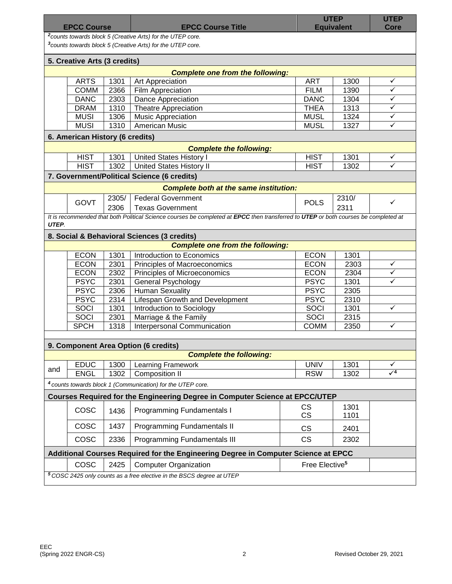| <b>EPCC Course</b>                                                                                                                               |                                 |       | <b>EPCC Course Title</b>                                                                                                            |                            | <b>UTEP</b><br><b>Equivalent</b> | <b>UTEP</b><br>Core     |  |  |  |  |
|--------------------------------------------------------------------------------------------------------------------------------------------------|---------------------------------|-------|-------------------------------------------------------------------------------------------------------------------------------------|----------------------------|----------------------------------|-------------------------|--|--|--|--|
| <sup>2</sup> counts towards block 5 (Creative Arts) for the UTEP core.<br><sup>3</sup> counts towards block 5 (Creative Arts) for the UTEP core. |                                 |       |                                                                                                                                     |                            |                                  |                         |  |  |  |  |
| 5. Creative Arts (3 credits)                                                                                                                     |                                 |       |                                                                                                                                     |                            |                                  |                         |  |  |  |  |
|                                                                                                                                                  |                                 |       | <b>Complete one from the following:</b>                                                                                             |                            |                                  |                         |  |  |  |  |
|                                                                                                                                                  | <b>ARTS</b>                     | 1301  | Art Appreciation                                                                                                                    | <b>ART</b>                 | 1300                             | ✓                       |  |  |  |  |
|                                                                                                                                                  | <b>COMM</b>                     | 2366  | Film Appreciation                                                                                                                   | <b>FILM</b>                | 1390                             | $\checkmark$            |  |  |  |  |
|                                                                                                                                                  | <b>DANC</b>                     | 2303  | <b>Dance Appreciation</b>                                                                                                           | <b>DANC</b>                | 1304                             | ✓                       |  |  |  |  |
|                                                                                                                                                  | <b>DRAM</b>                     | 1310  | <b>Theatre Appreciation</b>                                                                                                         | <b>THEA</b>                | 1313                             | ✓                       |  |  |  |  |
|                                                                                                                                                  | <b>MUSI</b>                     | 1306  | <b>Music Appreciation</b>                                                                                                           | <b>MUSL</b>                | 1324                             | $\checkmark$            |  |  |  |  |
|                                                                                                                                                  | <b>MUSI</b>                     | 1310  | American Music                                                                                                                      | <b>MUSL</b>                | 1327                             | $\checkmark$            |  |  |  |  |
|                                                                                                                                                  | 6. American History (6 credits) |       |                                                                                                                                     |                            |                                  |                         |  |  |  |  |
|                                                                                                                                                  |                                 |       | <b>Complete the following:</b>                                                                                                      |                            |                                  |                         |  |  |  |  |
|                                                                                                                                                  | <b>HIST</b>                     | 1301  | <b>United States History I</b>                                                                                                      | <b>HIST</b>                | 1301                             | ✓                       |  |  |  |  |
|                                                                                                                                                  | <b>HIST</b>                     | 1302  | <b>United States History II</b>                                                                                                     | <b>HIST</b>                | 1302                             | $\overline{\checkmark}$ |  |  |  |  |
|                                                                                                                                                  |                                 |       | 7. Government/Political Science (6 credits)                                                                                         |                            |                                  |                         |  |  |  |  |
| <b>Complete both at the same institution:</b>                                                                                                    |                                 |       |                                                                                                                                     |                            |                                  |                         |  |  |  |  |
|                                                                                                                                                  | <b>GOVT</b>                     | 2305/ | <b>Federal Government</b>                                                                                                           |                            | 2310/                            | ✓                       |  |  |  |  |
|                                                                                                                                                  |                                 | 2306  | <b>Texas Government</b>                                                                                                             | <b>POLS</b>                | 2311                             |                         |  |  |  |  |
| UTEP.                                                                                                                                            |                                 |       | It is recommended that both Political Science courses be completed at EPCC then transferred to UTEP or both courses be completed at |                            |                                  |                         |  |  |  |  |
| 8. Social & Behavioral Sciences (3 credits)                                                                                                      |                                 |       |                                                                                                                                     |                            |                                  |                         |  |  |  |  |
|                                                                                                                                                  |                                 |       | <b>Complete one from the following:</b>                                                                                             |                            |                                  |                         |  |  |  |  |
|                                                                                                                                                  | <b>ECON</b>                     | 1301  | Introduction to Economics                                                                                                           | <b>ECON</b>                | 1301                             |                         |  |  |  |  |
|                                                                                                                                                  | <b>ECON</b>                     | 2301  | Principles of Macroeconomics                                                                                                        | <b>ECON</b>                | 2303                             | ✓                       |  |  |  |  |
|                                                                                                                                                  | <b>ECON</b>                     | 2302  | Principles of Microeconomics                                                                                                        | <b>ECON</b>                | 2304                             | ✓                       |  |  |  |  |
|                                                                                                                                                  | <b>PSYC</b>                     | 2301  | <b>General Psychology</b>                                                                                                           | <b>PSYC</b>                | 1301                             | ✓                       |  |  |  |  |
|                                                                                                                                                  | <b>PSYC</b>                     | 2306  | <b>Human Sexuality</b>                                                                                                              | <b>PSYC</b>                | 2305                             |                         |  |  |  |  |
|                                                                                                                                                  | <b>PSYC</b>                     | 2314  | Lifespan Growth and Development                                                                                                     | <b>PSYC</b>                | 2310                             |                         |  |  |  |  |
|                                                                                                                                                  | SOCI                            | 1301  | Introduction to Sociology                                                                                                           | SOCI                       | 1301                             | ✓                       |  |  |  |  |
|                                                                                                                                                  | SOCI                            | 2301  | Marriage & the Family                                                                                                               | SOCI                       | 2315                             |                         |  |  |  |  |
|                                                                                                                                                  | <b>SPCH</b>                     | 1318  | Interpersonal Communication                                                                                                         | <b>COMM</b>                | 2350                             | ✓                       |  |  |  |  |
|                                                                                                                                                  |                                 |       |                                                                                                                                     |                            |                                  |                         |  |  |  |  |
|                                                                                                                                                  |                                 |       | 9. Component Area Option (6 credits)                                                                                                |                            |                                  |                         |  |  |  |  |
|                                                                                                                                                  |                                 |       | <b>Complete the following:</b>                                                                                                      |                            |                                  |                         |  |  |  |  |
| and                                                                                                                                              | <b>EDUC</b>                     | 1300  | Learning Framework                                                                                                                  | <b>UNIV</b>                | 1301                             | ✓                       |  |  |  |  |
|                                                                                                                                                  | <b>ENGL</b>                     | 1302  | <b>Composition II</b>                                                                                                               | <b>RSW</b>                 | 1302                             | $\sqrt{4}$              |  |  |  |  |
|                                                                                                                                                  |                                 |       | <sup>4</sup> counts towards block 1 (Communication) for the UTEP core.                                                              |                            |                                  |                         |  |  |  |  |
|                                                                                                                                                  |                                 |       | Courses Required for the Engineering Degree in Computer Science at EPCC/UTEP                                                        |                            |                                  |                         |  |  |  |  |
|                                                                                                                                                  | COSC                            | 1436  | <b>Programming Fundamentals I</b>                                                                                                   | <b>CS</b><br><b>CS</b>     | 1301<br>1101                     |                         |  |  |  |  |
|                                                                                                                                                  | COSC                            | 1437  | Programming Fundamentals II                                                                                                         | <b>CS</b>                  | 2401                             |                         |  |  |  |  |
|                                                                                                                                                  | <b>COSC</b>                     | 2336  | Programming Fundamentals III                                                                                                        | <b>CS</b>                  | 2302                             |                         |  |  |  |  |
| Additional Courses Required for the Engineering Degree in Computer Science at EPCC                                                               |                                 |       |                                                                                                                                     |                            |                                  |                         |  |  |  |  |
|                                                                                                                                                  | <b>COSC</b>                     | 2425  | <b>Computer Organization</b>                                                                                                        | Free Elective <sup>5</sup> |                                  |                         |  |  |  |  |
|                                                                                                                                                  |                                 |       | <sup>5</sup> COSC 2425 only counts as a free elective in the BSCS degree at UTEP                                                    |                            |                                  |                         |  |  |  |  |